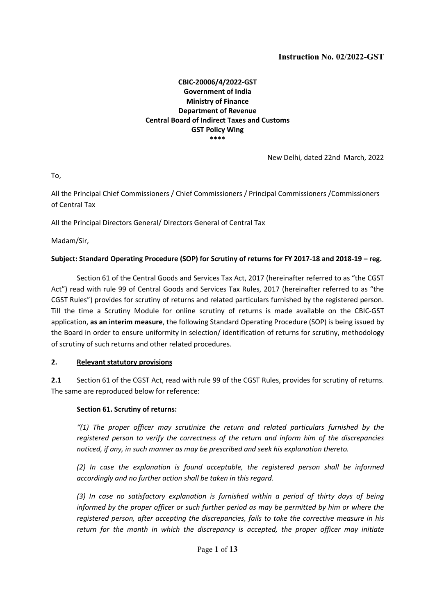#### CBIC-20006/4/2022-GST Government of India Ministry of Finance Department of Revenue Central Board of Indirect Taxes and Customs GST Policy Wing \*\*\*\*

New Delhi, dated 22nd March, 2022

To,

All the Principal Chief Commissioners / Chief Commissioners / Principal Commissioners /Commissioners of Central Tax

All the Principal Directors General/ Directors General of Central Tax

Madam/Sir,

#### Subject: Standard Operating Procedure (SOP) for Scrutiny of returns for FY 2017-18 and 2018-19 – reg.

Section 61 of the Central Goods and Services Tax Act, 2017 (hereinafter referred to as "the CGST Act") read with rule 99 of Central Goods and Services Tax Rules, 2017 (hereinafter referred to as "the CGST Rules") provides for scrutiny of returns and related particulars furnished by the registered person. Till the time a Scrutiny Module for online scrutiny of returns is made available on the CBIC-GST application, as an interim measure, the following Standard Operating Procedure (SOP) is being issued by the Board in order to ensure uniformity in selection/ identification of returns for scrutiny, methodology of scrutiny of such returns and other related procedures.

#### 2. Relevant statutory provisions

2.1 Section 61 of the CGST Act, read with rule 99 of the CGST Rules, provides for scrutiny of returns. The same are reproduced below for reference:

#### Section 61. Scrutiny of returns:

 $''(1)$  The proper officer may scrutinize the return and related particulars furnished by the registered person to verify the correctness of the return and inform him of the discrepancies noticed, if any, in such manner as may be prescribed and seek his explanation thereto.

(2) In case the explanation is found acceptable, the registered person shall be informed accordingly and no further action shall be taken in this regard.

(3) In case no satisfactory explanation is furnished within a period of thirty days of being informed by the proper officer or such further period as may be permitted by him or where the registered person, after accepting the discrepancies, fails to take the corrective measure in his return for the month in which the discrepancy is accepted, the proper officer may initiate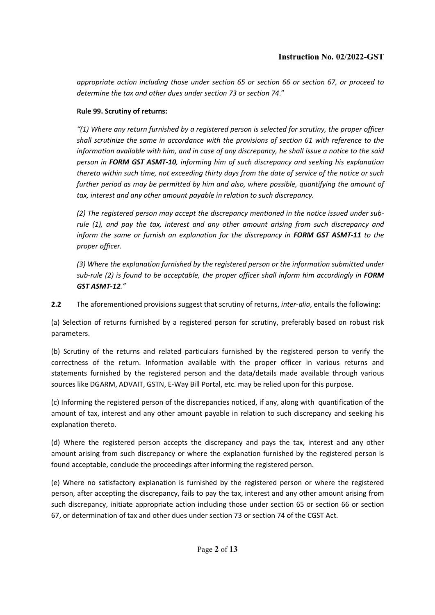appropriate action including those under section 65 or section 66 or section 67, or proceed to determine the tax and other dues under section 73 or section 74."

#### Rule 99. Scrutiny of returns:

"(1) Where any return furnished by a registered person is selected for scrutiny, the proper officer shall scrutinize the same in accordance with the provisions of section 61 with reference to the information available with him, and in case of any discrepancy, he shall issue a notice to the said person in FORM GST ASMT-10, informing him of such discrepancy and seeking his explanation thereto within such time, not exceeding thirty days from the date of service of the notice or such further period as may be permitted by him and also, where possible, quantifying the amount of tax, interest and any other amount payable in relation to such discrepancy.

(2) The registered person may accept the discrepancy mentioned in the notice issued under subrule (1), and pay the tax, interest and any other amount arising from such discrepancy and inform the same or furnish an explanation for the discrepancy in FORM GST ASMT-11 to the proper officer.

(3) Where the explanation furnished by the registered person or the information submitted under sub-rule (2) is found to be acceptable, the proper officer shall inform him accordingly in FORM GST ASMT-12."

2.2 The aforementioned provisions suggest that scrutiny of returns, *inter-alia*, entails the following:

(a) Selection of returns furnished by a registered person for scrutiny, preferably based on robust risk parameters.

(b) Scrutiny of the returns and related particulars furnished by the registered person to verify the correctness of the return. Information available with the proper officer in various returns and statements furnished by the registered person and the data/details made available through various sources like DGARM, ADVAIT, GSTN, E-Way Bill Portal, etc. may be relied upon for this purpose.

(c) Informing the registered person of the discrepancies noticed, if any, along with quantification of the amount of tax, interest and any other amount payable in relation to such discrepancy and seeking his explanation thereto.

(d) Where the registered person accepts the discrepancy and pays the tax, interest and any other amount arising from such discrepancy or where the explanation furnished by the registered person is found acceptable, conclude the proceedings after informing the registered person.

(e) Where no satisfactory explanation is furnished by the registered person or where the registered person, after accepting the discrepancy, fails to pay the tax, interest and any other amount arising from such discrepancy, initiate appropriate action including those under section 65 or section 66 or section 67, or determination of tax and other dues under section 73 or section 74 of the CGST Act.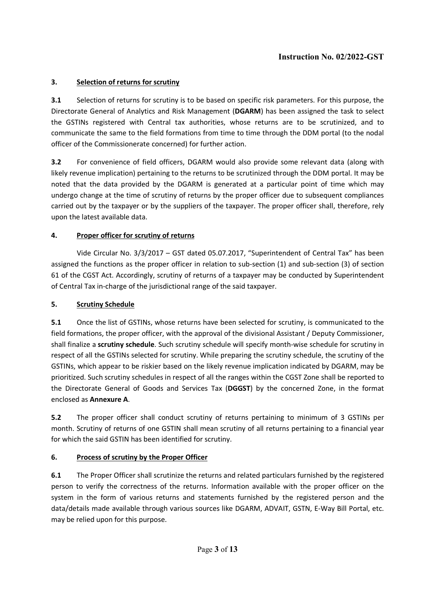## 3. Selection of returns for scrutiny

3.1 Selection of returns for scrutiny is to be based on specific risk parameters. For this purpose, the Directorate General of Analytics and Risk Management (DGARM) has been assigned the task to select the GSTINs registered with Central tax authorities, whose returns are to be scrutinized, and to communicate the same to the field formations from time to time through the DDM portal (to the nodal officer of the Commissionerate concerned) for further action.

3.2 For convenience of field officers, DGARM would also provide some relevant data (along with likely revenue implication) pertaining to the returns to be scrutinized through the DDM portal. It may be noted that the data provided by the DGARM is generated at a particular point of time which may undergo change at the time of scrutiny of returns by the proper officer due to subsequent compliances carried out by the taxpayer or by the suppliers of the taxpayer. The proper officer shall, therefore, rely upon the latest available data.

## 4. Proper officer for scrutiny of returns

Vide Circular No. 3/3/2017 – GST dated 05.07.2017, "Superintendent of Central Tax" has been assigned the functions as the proper officer in relation to sub-section (1) and sub-section (3) of section 61 of the CGST Act. Accordingly, scrutiny of returns of a taxpayer may be conducted by Superintendent of Central Tax in-charge of the jurisdictional range of the said taxpayer.

#### 5. Scrutiny Schedule

5.1 Once the list of GSTINs, whose returns have been selected for scrutiny, is communicated to the field formations, the proper officer, with the approval of the divisional Assistant / Deputy Commissioner, shall finalize a scrutiny schedule. Such scrutiny schedule will specify month-wise schedule for scrutiny in respect of all the GSTINs selected for scrutiny. While preparing the scrutiny schedule, the scrutiny of the GSTINs, which appear to be riskier based on the likely revenue implication indicated by DGARM, may be prioritized. Such scrutiny schedules in respect of all the ranges within the CGST Zone shall be reported to the Directorate General of Goods and Services Tax (DGGST) by the concerned Zone, in the format enclosed as Annexure A.

5.2 The proper officer shall conduct scrutiny of returns pertaining to minimum of 3 GSTINs per month. Scrutiny of returns of one GSTIN shall mean scrutiny of all returns pertaining to a financial year for which the said GSTIN has been identified for scrutiny.

## 6. Process of scrutiny by the Proper Officer

6.1 The Proper Officer shall scrutinize the returns and related particulars furnished by the registered person to verify the correctness of the returns. Information available with the proper officer on the system in the form of various returns and statements furnished by the registered person and the data/details made available through various sources like DGARM, ADVAIT, GSTN, E-Way Bill Portal, etc. may be relied upon for this purpose.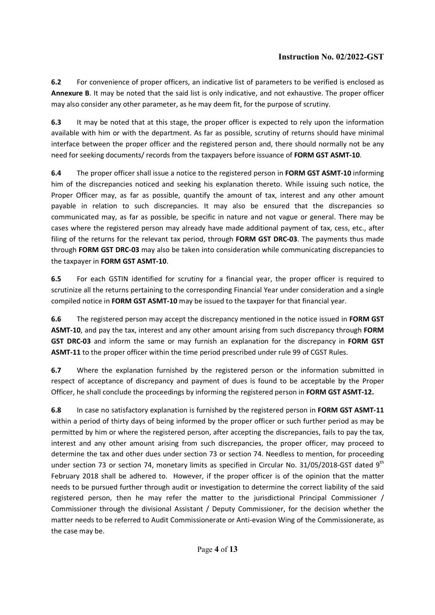6.2 For convenience of proper officers, an indicative list of parameters to be verified is enclosed as Annexure B. It may be noted that the said list is only indicative, and not exhaustive. The proper officer may also consider any other parameter, as he may deem fit, for the purpose of scrutiny.

6.3 It may be noted that at this stage, the proper officer is expected to rely upon the information available with him or with the department. As far as possible, scrutiny of returns should have minimal interface between the proper officer and the registered person and, there should normally not be any need for seeking documents/ records from the taxpayers before issuance of FORM GST ASMT-10.

6.4 The proper officer shall issue a notice to the registered person in FORM GST ASMT-10 informing him of the discrepancies noticed and seeking his explanation thereto. While issuing such notice, the Proper Officer may, as far as possible, quantify the amount of tax, interest and any other amount payable in relation to such discrepancies. It may also be ensured that the discrepancies so communicated may, as far as possible, be specific in nature and not vague or general. There may be cases where the registered person may already have made additional payment of tax, cess, etc., after filing of the returns for the relevant tax period, through FORM GST DRC-03. The payments thus made through FORM GST DRC-03 may also be taken into consideration while communicating discrepancies to the taxpayer in FORM GST ASMT-10.

6.5 For each GSTIN identified for scrutiny for a financial year, the proper officer is required to scrutinize all the returns pertaining to the corresponding Financial Year under consideration and a single compiled notice in FORM GST ASMT-10 may be issued to the taxpayer for that financial year.

6.6 The registered person may accept the discrepancy mentioned in the notice issued in FORM GST ASMT-10, and pay the tax, interest and any other amount arising from such discrepancy through FORM GST DRC-03 and inform the same or may furnish an explanation for the discrepancy in FORM GST ASMT-11 to the proper officer within the time period prescribed under rule 99 of CGST Rules.

6.7 Where the explanation furnished by the registered person or the information submitted in respect of acceptance of discrepancy and payment of dues is found to be acceptable by the Proper Officer, he shall conclude the proceedings by informing the registered person in FORM GST ASMT-12.

6.8 In case no satisfactory explanation is furnished by the registered person in FORM GST ASMT-11 within a period of thirty days of being informed by the proper officer or such further period as may be permitted by him or where the registered person, after accepting the discrepancies, fails to pay the tax, interest and any other amount arising from such discrepancies, the proper officer, may proceed to determine the tax and other dues under section 73 or section 74. Needless to mention, for proceeding under section 73 or section 74, monetary limits as specified in Circular No. 31/05/2018-GST dated 9<sup>th</sup> February 2018 shall be adhered to. However, if the proper officer is of the opinion that the matter needs to be pursued further through audit or investigation to determine the correct liability of the said registered person, then he may refer the matter to the jurisdictional Principal Commissioner / Commissioner through the divisional Assistant / Deputy Commissioner, for the decision whether the matter needs to be referred to Audit Commissionerate or Anti-evasion Wing of the Commissionerate, as the case may be.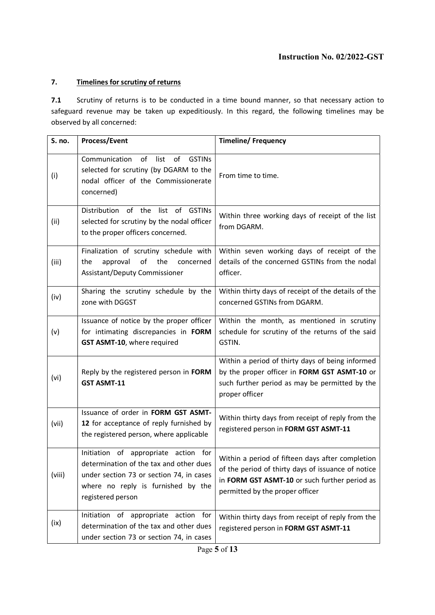#### 7. Timelines for scrutiny of returns

7.1 Scrutiny of returns is to be conducted in a time bound manner, so that necessary action to safeguard revenue may be taken up expeditiously. In this regard, the following timelines may be observed by all concerned:

| S. no. | <b>Process/Event</b>                                                                                                                                                                   | <b>Timeline/Frequency</b>                                                                                                                                                                  |
|--------|----------------------------------------------------------------------------------------------------------------------------------------------------------------------------------------|--------------------------------------------------------------------------------------------------------------------------------------------------------------------------------------------|
| (i)    | Communication<br>of<br>list<br>of<br><b>GSTINs</b><br>selected for scrutiny (by DGARM to the<br>nodal officer of the Commissionerate<br>concerned)                                     | From time to time.                                                                                                                                                                         |
| (ii)   | Distribution of the<br>of GSTINs<br>list<br>selected for scrutiny by the nodal officer<br>to the proper officers concerned.                                                            | Within three working days of receipt of the list<br>from DGARM.                                                                                                                            |
| (iii)  | Finalization of scrutiny schedule with<br>the<br>the<br>approval<br>of<br>concerned<br>Assistant/Deputy Commissioner                                                                   | Within seven working days of receipt of the<br>details of the concerned GSTINs from the nodal<br>officer.                                                                                  |
| (iv)   | Sharing the scrutiny schedule by the<br>zone with DGGST                                                                                                                                | Within thirty days of receipt of the details of the<br>concerned GSTINs from DGARM.                                                                                                        |
| (v)    | Issuance of notice by the proper officer<br>for intimating discrepancies in FORM<br>GST ASMT-10, where required                                                                        | Within the month, as mentioned in scrutiny<br>schedule for scrutiny of the returns of the said<br>GSTIN.                                                                                   |
| (vi)   | Reply by the registered person in FORM<br><b>GST ASMT-11</b>                                                                                                                           | Within a period of thirty days of being informed<br>by the proper officer in FORM GST ASMT-10 or<br>such further period as may be permitted by the<br>proper officer                       |
| (vii)  | Issuance of order in FORM GST ASMT-<br>12 for acceptance of reply furnished by<br>the registered person, where applicable                                                              | Within thirty days from receipt of reply from the<br>registered person in FORM GST ASMT-11                                                                                                 |
| (viii) | Initiation of appropriate action for<br>determination of the tax and other dues<br>under section 73 or section 74, in cases<br>where no reply is furnished by the<br>registered person | Within a period of fifteen days after completion<br>of the period of thirty days of issuance of notice<br>in FORM GST ASMT-10 or such further period as<br>permitted by the proper officer |
| (ix)   | of appropriate action<br>Initiation<br>for<br>determination of the tax and other dues<br>under section 73 or section 74, in cases                                                      | Within thirty days from receipt of reply from the<br>registered person in FORM GST ASMT-11                                                                                                 |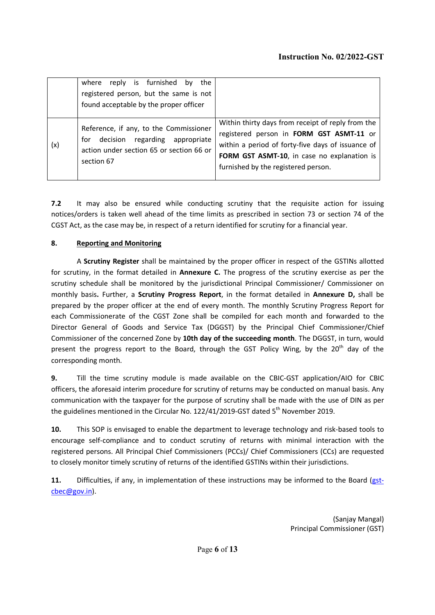|     | where reply is furnished by the<br>registered person, but the same is not<br>found acceptable by the proper officer                    |                                                                                                                                                                                                                                          |
|-----|----------------------------------------------------------------------------------------------------------------------------------------|------------------------------------------------------------------------------------------------------------------------------------------------------------------------------------------------------------------------------------------|
| (x) | Reference, if any, to the Commissioner<br>for decision regarding appropriate<br>action under section 65 or section 66 or<br>section 67 | Within thirty days from receipt of reply from the<br>registered person in FORM GST ASMT-11 or<br>within a period of forty-five days of issuance of<br>FORM GST ASMT-10, in case no explanation is<br>furnished by the registered person. |

7.2 It may also be ensured while conducting scrutiny that the requisite action for issuing notices/orders is taken well ahead of the time limits as prescribed in section 73 or section 74 of the CGST Act, as the case may be, in respect of a return identified for scrutiny for a financial year.

#### 8. Reporting and Monitoring

A Scrutiny Register shall be maintained by the proper officer in respect of the GSTINs allotted for scrutiny, in the format detailed in Annexure C. The progress of the scrutiny exercise as per the scrutiny schedule shall be monitored by the jurisdictional Principal Commissioner/ Commissioner on monthly basis. Further, a Scrutiny Progress Report, in the format detailed in Annexure D, shall be prepared by the proper officer at the end of every month. The monthly Scrutiny Progress Report for each Commissionerate of the CGST Zone shall be compiled for each month and forwarded to the Director General of Goods and Service Tax (DGGST) by the Principal Chief Commissioner/Chief Commissioner of the concerned Zone by 10th day of the succeeding month. The DGGST, in turn, would present the progress report to the Board, through the GST Policy Wing, by the 20<sup>th</sup> day of the corresponding month.

9. Till the time scrutiny module is made available on the CBIC-GST application/AIO for CBIC officers, the aforesaid interim procedure for scrutiny of returns may be conducted on manual basis. Any communication with the taxpayer for the purpose of scrutiny shall be made with the use of DIN as per the guidelines mentioned in the Circular No. 122/41/2019-GST dated 5<sup>th</sup> November 2019.

10. This SOP is envisaged to enable the department to leverage technology and risk-based tools to encourage self-compliance and to conduct scrutiny of returns with minimal interaction with the registered persons. All Principal Chief Commissioners (PCCs)/ Chief Commissioners (CCs) are requested to closely monitor timely scrutiny of returns of the identified GSTINs within their jurisdictions.

11. Difficulties, if any, in implementation of these instructions may be informed to the Board (gstcbec@gov.in).

> (Sanjay Mangal) Principal Commissioner (GST)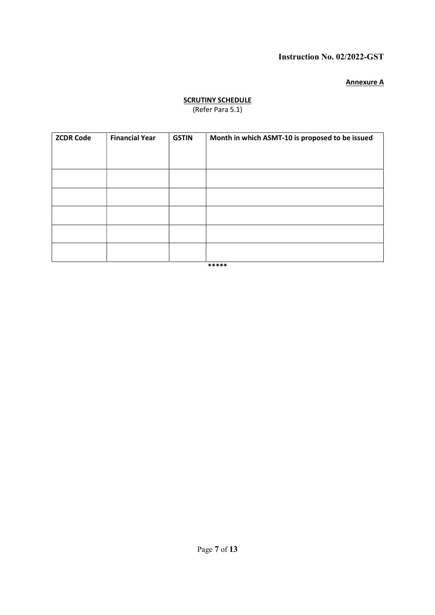#### Annexure A

# **SCRUTINY SCHEDULE**

(Refer Para 5.1)

| <b>ZCDR Code</b> | <b>Financial Year</b> | <b>GSTIN</b> | Month in which ASMT-10 is proposed to be issued |
|------------------|-----------------------|--------------|-------------------------------------------------|
|                  |                       |              |                                                 |
|                  |                       |              |                                                 |
|                  |                       |              |                                                 |
|                  |                       |              |                                                 |
|                  |                       |              |                                                 |
|                  |                       |              |                                                 |

\*\*\*\*\*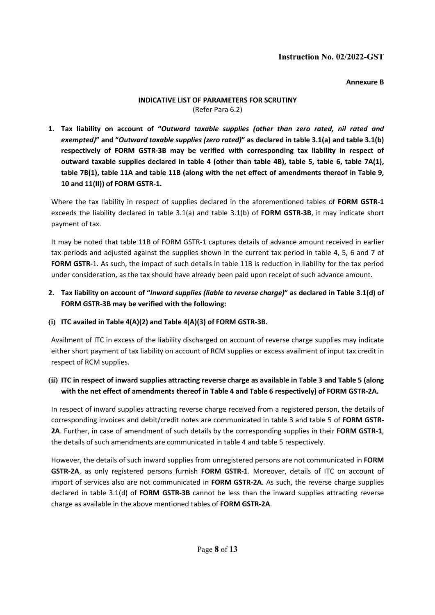Annexure B

#### INDICATIVE LIST OF PARAMETERS FOR SCRUTINY (Refer Para 6.2)

1. Tax liability on account of "Outward taxable supplies (other than zero rated, nil rated and exempted)" and "Outward taxable supplies (zero rated)" as declared in table 3.1(a) and table 3.1(b) respectively of FORM GSTR-3B may be verified with corresponding tax liability in respect of outward taxable supplies declared in table 4 (other than table 4B), table 5, table 6, table 7A(1), table 7B(1), table 11A and table 11B (along with the net effect of amendments thereof in Table 9, 10 and 11(II)) of FORM GSTR-1.

Where the tax liability in respect of supplies declared in the aforementioned tables of FORM GSTR-1 exceeds the liability declared in table 3.1(a) and table 3.1(b) of FORM GSTR-3B, it may indicate short payment of tax.

It may be noted that table 11B of FORM GSTR-1 captures details of advance amount received in earlier tax periods and adjusted against the supplies shown in the current tax period in table 4, 5, 6 and 7 of FORM GSTR-1. As such, the impact of such details in table 11B is reduction in liability for the tax period under consideration, as the tax should have already been paid upon receipt of such advance amount.

## 2. Tax liability on account of "Inward supplies (liable to reverse charge)" as declared in Table 3.1(d) of FORM GSTR-3B may be verified with the following:

(i) ITC availed in Table 4(A)(2) and Table 4(A)(3) of FORM GSTR-3B.

Availment of ITC in excess of the liability discharged on account of reverse charge supplies may indicate either short payment of tax liability on account of RCM supplies or excess availment of input tax credit in respect of RCM supplies.

## (ii) ITC in respect of inward supplies attracting reverse charge as available in Table 3 and Table 5 (along with the net effect of amendments thereof in Table 4 and Table 6 respectively) of FORM GSTR-2A.

In respect of inward supplies attracting reverse charge received from a registered person, the details of corresponding invoices and debit/credit notes are communicated in table 3 and table 5 of FORM GSTR-2A. Further, in case of amendment of such details by the corresponding supplies in their FORM GSTR-1, the details of such amendments are communicated in table 4 and table 5 respectively.

However, the details of such inward supplies from unregistered persons are not communicated in FORM GSTR-2A, as only registered persons furnish FORM GSTR-1. Moreover, details of ITC on account of import of services also are not communicated in FORM GSTR-2A. As such, the reverse charge supplies declared in table 3.1(d) of FORM GSTR-3B cannot be less than the inward supplies attracting reverse charge as available in the above mentioned tables of FORM GSTR-2A.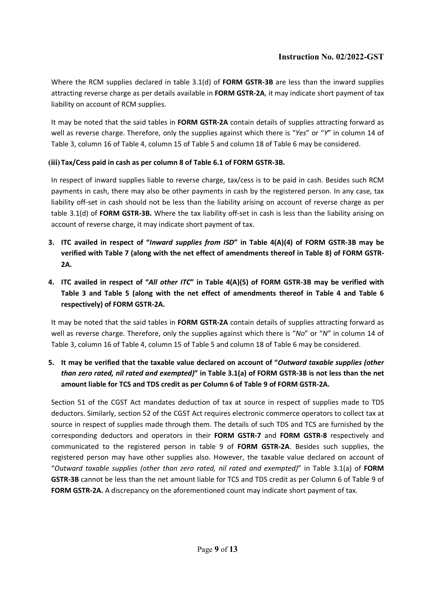Where the RCM supplies declared in table 3.1(d) of FORM GSTR-3B are less than the inward supplies attracting reverse charge as per details available in FORM GSTR-2A, it may indicate short payment of tax liability on account of RCM supplies.

It may be noted that the said tables in FORM GSTR-2A contain details of supplies attracting forward as well as reverse charge. Therefore, only the supplies against which there is "Yes" or "Y" in column 14 of Table 3, column 16 of Table 4, column 15 of Table 5 and column 18 of Table 6 may be considered.

## (iii) Tax/Cess paid in cash as per column 8 of Table 6.1 of FORM GSTR-3B.

In respect of inward supplies liable to reverse charge, tax/cess is to be paid in cash. Besides such RCM payments in cash, there may also be other payments in cash by the registered person. In any case, tax liability off-set in cash should not be less than the liability arising on account of reverse charge as per table 3.1(d) of FORM GSTR-3B. Where the tax liability off-set in cash is less than the liability arising on account of reverse charge, it may indicate short payment of tax.

- 3. ITC availed in respect of "Inward supplies from ISD" in Table 4(A)(4) of FORM GSTR-3B may be verified with Table 7 (along with the net effect of amendments thereof in Table 8) of FORM GSTR-2A.
- 4. ITC availed in respect of "All other ITC" in Table 4(A)(5) of FORM GSTR-3B may be verified with Table 3 and Table 5 (along with the net effect of amendments thereof in Table 4 and Table 6 respectively) of FORM GSTR-2A.

It may be noted that the said tables in FORM GSTR-2A contain details of supplies attracting forward as well as reverse charge. Therefore, only the supplies against which there is "No" or "N" in column 14 of Table 3, column 16 of Table 4, column 15 of Table 5 and column 18 of Table 6 may be considered.

5. It may be verified that the taxable value declared on account of "Outward taxable supplies (other than zero rated, nil rated and exempted)" in Table 3.1(a) of FORM GSTR-3B is not less than the net amount liable for TCS and TDS credit as per Column 6 of Table 9 of FORM GSTR-2A.

Section 51 of the CGST Act mandates deduction of tax at source in respect of supplies made to TDS deductors. Similarly, section 52 of the CGST Act requires electronic commerce operators to collect tax at source in respect of supplies made through them. The details of such TDS and TCS are furnished by the corresponding deductors and operators in their FORM GSTR-7 and FORM GSTR-8 respectively and communicated to the registered person in table 9 of FORM GSTR-2A. Besides such supplies, the registered person may have other supplies also. However, the taxable value declared on account of "Outward taxable supplies (other than zero rated, nil rated and exempted)" in Table 3.1(a) of FORM GSTR-3B cannot be less than the net amount liable for TCS and TDS credit as per Column 6 of Table 9 of FORM GSTR-2A. A discrepancy on the aforementioned count may indicate short payment of tax.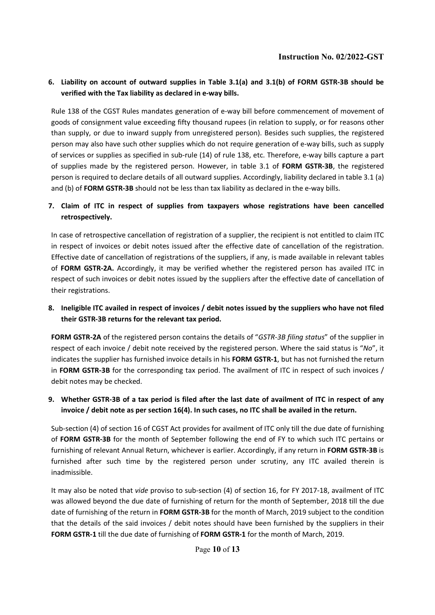#### 6. Liability on account of outward supplies in Table 3.1(a) and 3.1(b) of FORM GSTR-3B should be verified with the Tax liability as declared in e-way bills.

Rule 138 of the CGST Rules mandates generation of e-way bill before commencement of movement of goods of consignment value exceeding fifty thousand rupees (in relation to supply, or for reasons other than supply, or due to inward supply from unregistered person). Besides such supplies, the registered person may also have such other supplies which do not require generation of e-way bills, such as supply of services or supplies as specified in sub-rule (14) of rule 138, etc. Therefore, e-way bills capture a part of supplies made by the registered person. However, in table 3.1 of FORM GSTR-3B, the registered person is required to declare details of all outward supplies. Accordingly, liability declared in table 3.1 (a) and (b) of FORM GSTR-3B should not be less than tax liability as declared in the e-way bills.

#### 7. Claim of ITC in respect of supplies from taxpayers whose registrations have been cancelled retrospectively.

In case of retrospective cancellation of registration of a supplier, the recipient is not entitled to claim ITC in respect of invoices or debit notes issued after the effective date of cancellation of the registration. Effective date of cancellation of registrations of the suppliers, if any, is made available in relevant tables of FORM GSTR-2A. Accordingly, it may be verified whether the registered person has availed ITC in respect of such invoices or debit notes issued by the suppliers after the effective date of cancellation of their registrations.

#### 8. Ineligible ITC availed in respect of invoices / debit notes issued by the suppliers who have not filed their GSTR-3B returns for the relevant tax period.

FORM GSTR-2A of the registered person contains the details of "GSTR-3B filing status" of the supplier in respect of each invoice / debit note received by the registered person. Where the said status is "No", it indicates the supplier has furnished invoice details in his FORM GSTR-1, but has not furnished the return in FORM GSTR-3B for the corresponding tax period. The availment of ITC in respect of such invoices / debit notes may be checked.

#### 9. Whether GSTR-3B of a tax period is filed after the last date of availment of ITC in respect of any invoice / debit note as per section 16(4). In such cases, no ITC shall be availed in the return.

Sub-section (4) of section 16 of CGST Act provides for availment of ITC only till the due date of furnishing of FORM GSTR-3B for the month of September following the end of FY to which such ITC pertains or furnishing of relevant Annual Return, whichever is earlier. Accordingly, if any return in FORM GSTR-3B is furnished after such time by the registered person under scrutiny, any ITC availed therein is inadmissible.

It may also be noted that vide proviso to sub-section (4) of section 16, for FY 2017-18, availment of ITC was allowed beyond the due date of furnishing of return for the month of September, 2018 till the due date of furnishing of the return in FORM GSTR-3B for the month of March, 2019 subject to the condition that the details of the said invoices / debit notes should have been furnished by the suppliers in their FORM GSTR-1 till the due date of furnishing of FORM GSTR-1 for the month of March, 2019.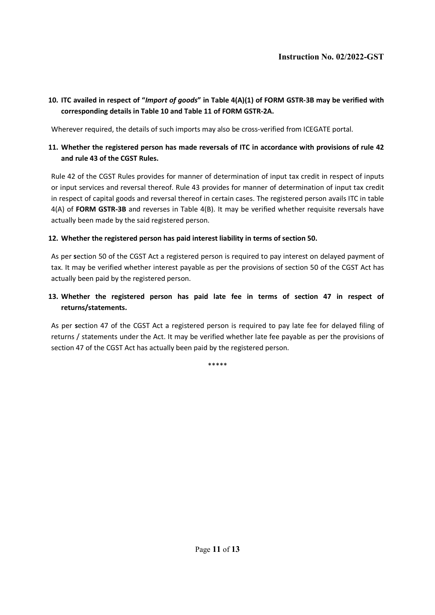#### 10. ITC availed in respect of "Import of goods" in Table 4(A)(1) of FORM GSTR-3B may be verified with corresponding details in Table 10 and Table 11 of FORM GSTR-2A.

Wherever required, the details of such imports may also be cross-verified from ICEGATE portal.

#### 11. Whether the registered person has made reversals of ITC in accordance with provisions of rule 42 and rule 43 of the CGST Rules.

Rule 42 of the CGST Rules provides for manner of determination of input tax credit in respect of inputs or input services and reversal thereof. Rule 43 provides for manner of determination of input tax credit in respect of capital goods and reversal thereof in certain cases. The registered person avails ITC in table 4(A) of FORM GSTR-3B and reverses in Table 4(B). It may be verified whether requisite reversals have actually been made by the said registered person.

#### 12. Whether the registered person has paid interest liability in terms of section 50.

As per section 50 of the CGST Act a registered person is required to pay interest on delayed payment of tax. It may be verified whether interest payable as per the provisions of section 50 of the CGST Act has actually been paid by the registered person.

## 13. Whether the registered person has paid late fee in terms of section 47 in respect of returns/statements.

As per section 47 of the CGST Act a registered person is required to pay late fee for delayed filing of returns / statements under the Act. It may be verified whether late fee payable as per the provisions of section 47 of the CGST Act has actually been paid by the registered person.

\*\*\*\*\*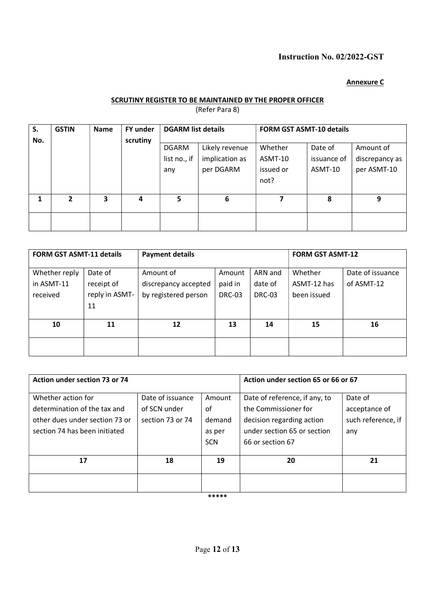#### Annexure C

#### SCRUTINY REGISTER TO BE MAINTAINED BY THE PROPER OFFICER

(Refer Para 8)

| S.  | <b>GSTIN</b> | <b>Name</b> | <b>FY under</b> | <b>DGARM list details</b>           |                                               | <b>FORM GST ASMT-10 details</b>         |                                   |                                            |  |
|-----|--------------|-------------|-----------------|-------------------------------------|-----------------------------------------------|-----------------------------------------|-----------------------------------|--------------------------------------------|--|
| No. |              |             | scrutiny        | <b>DGARM</b><br>list no., if<br>any | Likely revenue<br>implication as<br>per DGARM | Whether<br>ASMT-10<br>issued or<br>not? | Date of<br>issuance of<br>ASMT-10 | Amount of<br>discrepancy as<br>per ASMT-10 |  |
|     | $\mathbf{2}$ | 3           | 4               | 5                                   | 6                                             | 7                                       | 8                                 | 9                                          |  |
|     |              |             |                 |                                     |                                               |                                         |                                   |                                            |  |

| <b>FORM GST ASMT-11 details</b>         |                                               | <b>Payment details</b>                                    |                                    | <b>FORM GST ASMT-12</b>      |                                       |                                |
|-----------------------------------------|-----------------------------------------------|-----------------------------------------------------------|------------------------------------|------------------------------|---------------------------------------|--------------------------------|
| Whether reply<br>in ASMT-11<br>received | Date of<br>receipt of<br>reply in ASMT-<br>11 | Amount of<br>discrepancy accepted<br>by registered person | Amount<br>paid in<br><b>DRC-03</b> | ARN and<br>date of<br>DRC-03 | Whether<br>ASMT-12 has<br>been issued | Date of issuance<br>of ASMT-12 |
| 10                                      | 12<br>11                                      |                                                           | 13                                 | 14                           | 15                                    | 16                             |
|                                         |                                               |                                                           |                                    |                              |                                       |                                |

| Action under section 73 or 74                                                                                         |                                                      |                                                | Action under section 65 or 66 or 67                                                                                                   |                                                       |
|-----------------------------------------------------------------------------------------------------------------------|------------------------------------------------------|------------------------------------------------|---------------------------------------------------------------------------------------------------------------------------------------|-------------------------------------------------------|
| Whether action for<br>determination of the tax and<br>other dues under section 73 or<br>section 74 has been initiated | Date of issuance<br>of SCN under<br>section 73 or 74 | Amount<br>0f<br>demand<br>as per<br><b>SCN</b> | Date of reference, if any, to<br>the Commissioner for<br>decision regarding action<br>under section 65 or section<br>66 or section 67 | Date of<br>acceptance of<br>such reference, if<br>any |
| 17                                                                                                                    | 18                                                   | 19                                             | 20                                                                                                                                    | 21                                                    |
|                                                                                                                       |                                                      |                                                |                                                                                                                                       |                                                       |

\*\*\*\*\*